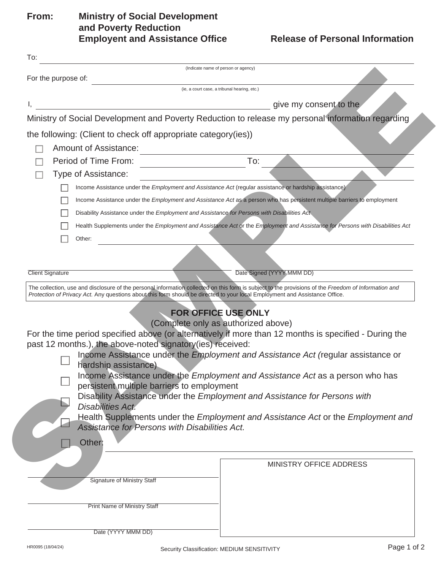## **From: Ministry of Social Development and Poverty Reduction Employent and Assistance Office**

|                         | For the purpose of:                                                                                                         | (Indicate name of person or agency)                                                                                                                  |
|-------------------------|-----------------------------------------------------------------------------------------------------------------------------|------------------------------------------------------------------------------------------------------------------------------------------------------|
|                         |                                                                                                                             | (ie, a court case, a tribunal hearing, etc.)                                                                                                         |
|                         |                                                                                                                             | give my consent to the                                                                                                                               |
|                         |                                                                                                                             | Ministry of Social Development and Poverty Reduction to release my personal information regarding                                                    |
|                         |                                                                                                                             |                                                                                                                                                      |
|                         | the following: (Client to check off appropriate category (ies))                                                             |                                                                                                                                                      |
|                         | <b>Amount of Assistance:</b>                                                                                                |                                                                                                                                                      |
|                         | Period of Time From:                                                                                                        | To:                                                                                                                                                  |
|                         | Type of Assistance:                                                                                                         |                                                                                                                                                      |
|                         |                                                                                                                             | Income Assistance under the <i>Employment and Assistance Act</i> (regular assistance or hardship assistance)                                         |
|                         |                                                                                                                             | Income Assistance under the Employment and Assistance Act as a person who has persistent multiple barriers to employment                             |
|                         | Disability Assistance under the Employment and Assistance for Persons with Disabilities Act                                 |                                                                                                                                                      |
|                         | Other:                                                                                                                      | Health Supplements under the Employment and Assistance Act or the Employment and Assistance for Persons with Disabilities Act                        |
|                         |                                                                                                                             |                                                                                                                                                      |
|                         |                                                                                                                             |                                                                                                                                                      |
| <b>Client Signature</b> |                                                                                                                             | Date Signed (YYYY MMM DD)                                                                                                                            |
|                         |                                                                                                                             | The collection, use and disclosure of the personal information collected on this form is subject to the provisions of the Freedom of Information and |
|                         | Protection of Privacy Act. Any questions about this form should be directed to your local Employment and Assistance Office. |                                                                                                                                                      |
|                         |                                                                                                                             | <b>FOR OFFICE USE ONLY</b>                                                                                                                           |
|                         |                                                                                                                             | (Complete only as authorized above)                                                                                                                  |
|                         | past 12 months.), the above-noted signatory(ies) received:                                                                  | For the time period specified above (or alternatively if more than 12 months is specified - During the                                               |
|                         |                                                                                                                             |                                                                                                                                                      |
|                         |                                                                                                                             |                                                                                                                                                      |
|                         | hardship assistance)                                                                                                        | Income Assistance under the Employment and Assistance Act (regular assistance or                                                                     |
|                         |                                                                                                                             | Income Assistance under the Employment and Assistance Act as a person who has                                                                        |
|                         | persistent multiple barriers to employment                                                                                  |                                                                                                                                                      |
|                         |                                                                                                                             | Disability Assistance under the Employment and Assistance for Persons with                                                                           |
|                         | <b>Disabilities Act.</b>                                                                                                    | Health Supplements under the Employment and Assistance Act or the Employment and                                                                     |
|                         | Assistance for Persons with Disabilities Act.                                                                               |                                                                                                                                                      |
|                         | Other:                                                                                                                      |                                                                                                                                                      |
|                         |                                                                                                                             |                                                                                                                                                      |
|                         |                                                                                                                             | <b>MINISTRY OFFICE ADDRESS</b>                                                                                                                       |
|                         | <b>Signature of Ministry Staff</b>                                                                                          |                                                                                                                                                      |
|                         |                                                                                                                             |                                                                                                                                                      |
|                         | <b>Print Name of Ministry Staff</b>                                                                                         |                                                                                                                                                      |
|                         |                                                                                                                             |                                                                                                                                                      |